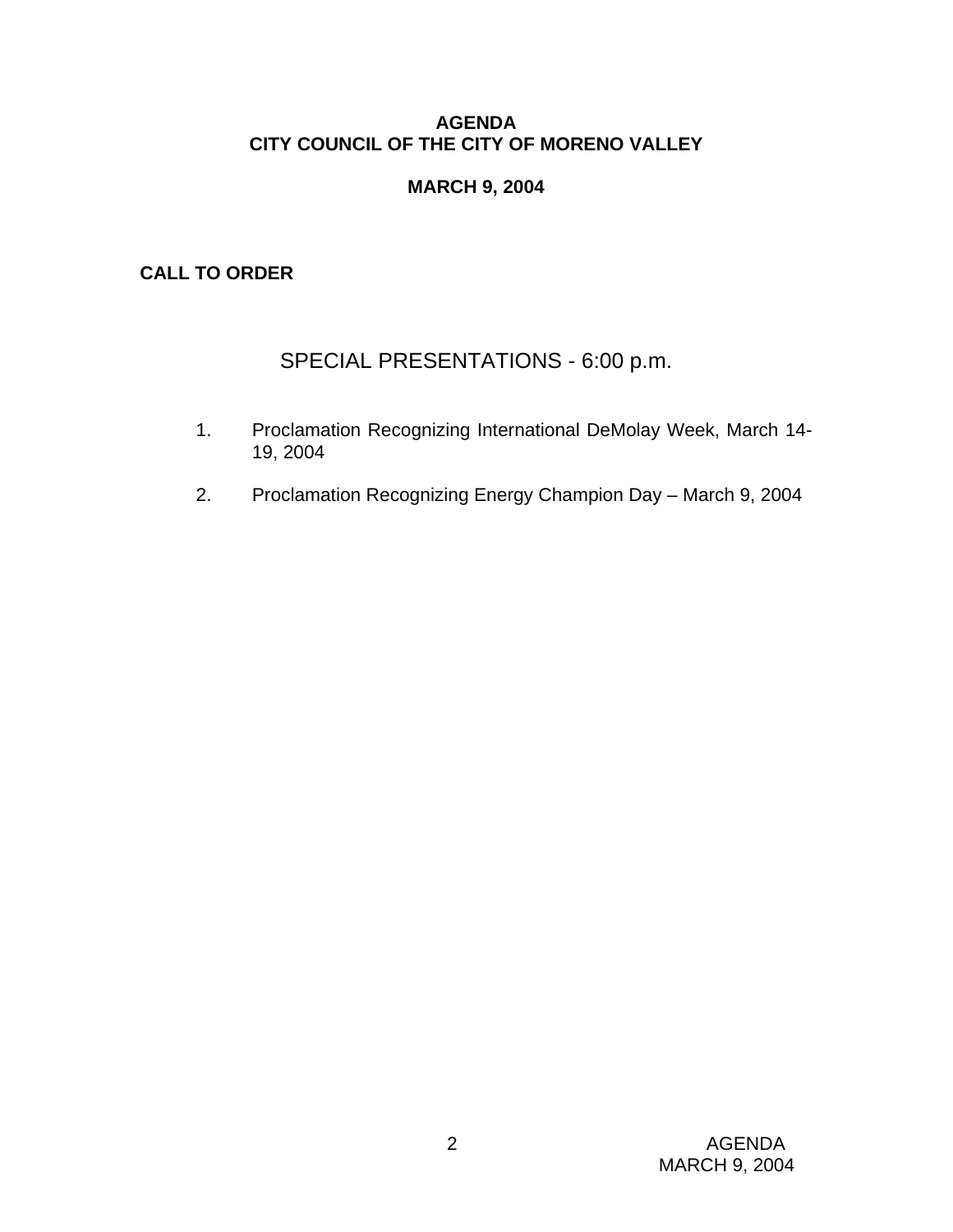#### **AGENDA CITY COUNCIL OF THE CITY OF MORENO VALLEY**

# **MARCH 9, 2004**

# **CALL TO ORDER**

# SPECIAL PRESENTATIONS - 6:00 p.m.

- 1. Proclamation Recognizing International DeMolay Week, March 14- 19, 2004
- 2. Proclamation Recognizing Energy Champion Day March 9, 2004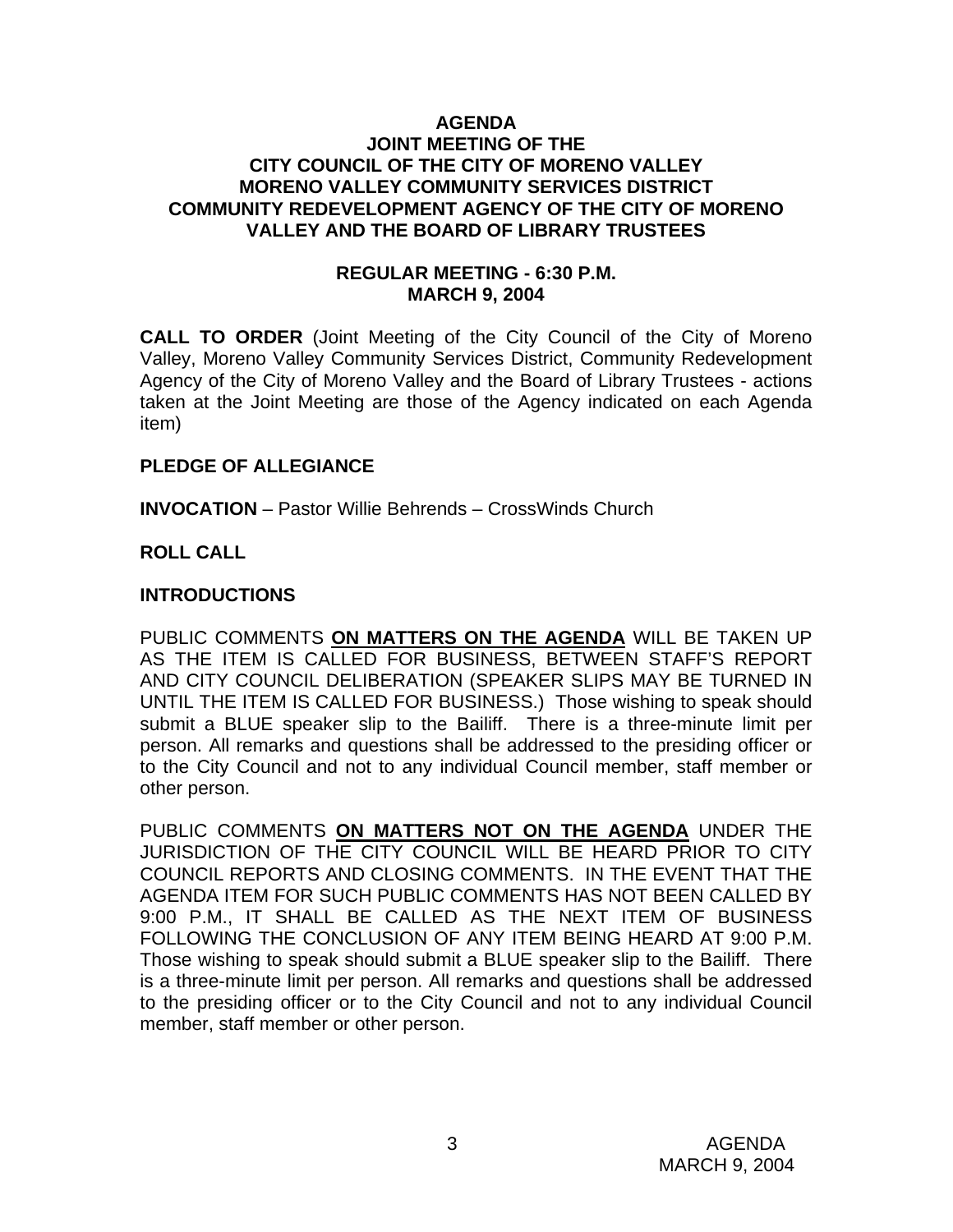#### **AGENDA JOINT MEETING OF THE CITY COUNCIL OF THE CITY OF MORENO VALLEY MORENO VALLEY COMMUNITY SERVICES DISTRICT COMMUNITY REDEVELOPMENT AGENCY OF THE CITY OF MORENO VALLEY AND THE BOARD OF LIBRARY TRUSTEES**

#### **REGULAR MEETING - 6:30 P.M. MARCH 9, 2004**

**CALL TO ORDER** (Joint Meeting of the City Council of the City of Moreno Valley, Moreno Valley Community Services District, Community Redevelopment Agency of the City of Moreno Valley and the Board of Library Trustees - actions taken at the Joint Meeting are those of the Agency indicated on each Agenda item)

#### **PLEDGE OF ALLEGIANCE**

**INVOCATION** – Pastor Willie Behrends – CrossWinds Church

# **ROLL CALL**

# **INTRODUCTIONS**

PUBLIC COMMENTS **ON MATTERS ON THE AGENDA** WILL BE TAKEN UP AS THE ITEM IS CALLED FOR BUSINESS, BETWEEN STAFF'S REPORT AND CITY COUNCIL DELIBERATION (SPEAKER SLIPS MAY BE TURNED IN UNTIL THE ITEM IS CALLED FOR BUSINESS.) Those wishing to speak should submit a BLUE speaker slip to the Bailiff. There is a three-minute limit per person. All remarks and questions shall be addressed to the presiding officer or to the City Council and not to any individual Council member, staff member or other person.

PUBLIC COMMENTS **ON MATTERS NOT ON THE AGENDA** UNDER THE JURISDICTION OF THE CITY COUNCIL WILL BE HEARD PRIOR TO CITY COUNCIL REPORTS AND CLOSING COMMENTS. IN THE EVENT THAT THE AGENDA ITEM FOR SUCH PUBLIC COMMENTS HAS NOT BEEN CALLED BY 9:00 P.M., IT SHALL BE CALLED AS THE NEXT ITEM OF BUSINESS FOLLOWING THE CONCLUSION OF ANY ITEM BEING HEARD AT 9:00 P.M. Those wishing to speak should submit a BLUE speaker slip to the Bailiff. There is a three-minute limit per person. All remarks and questions shall be addressed to the presiding officer or to the City Council and not to any individual Council member, staff member or other person.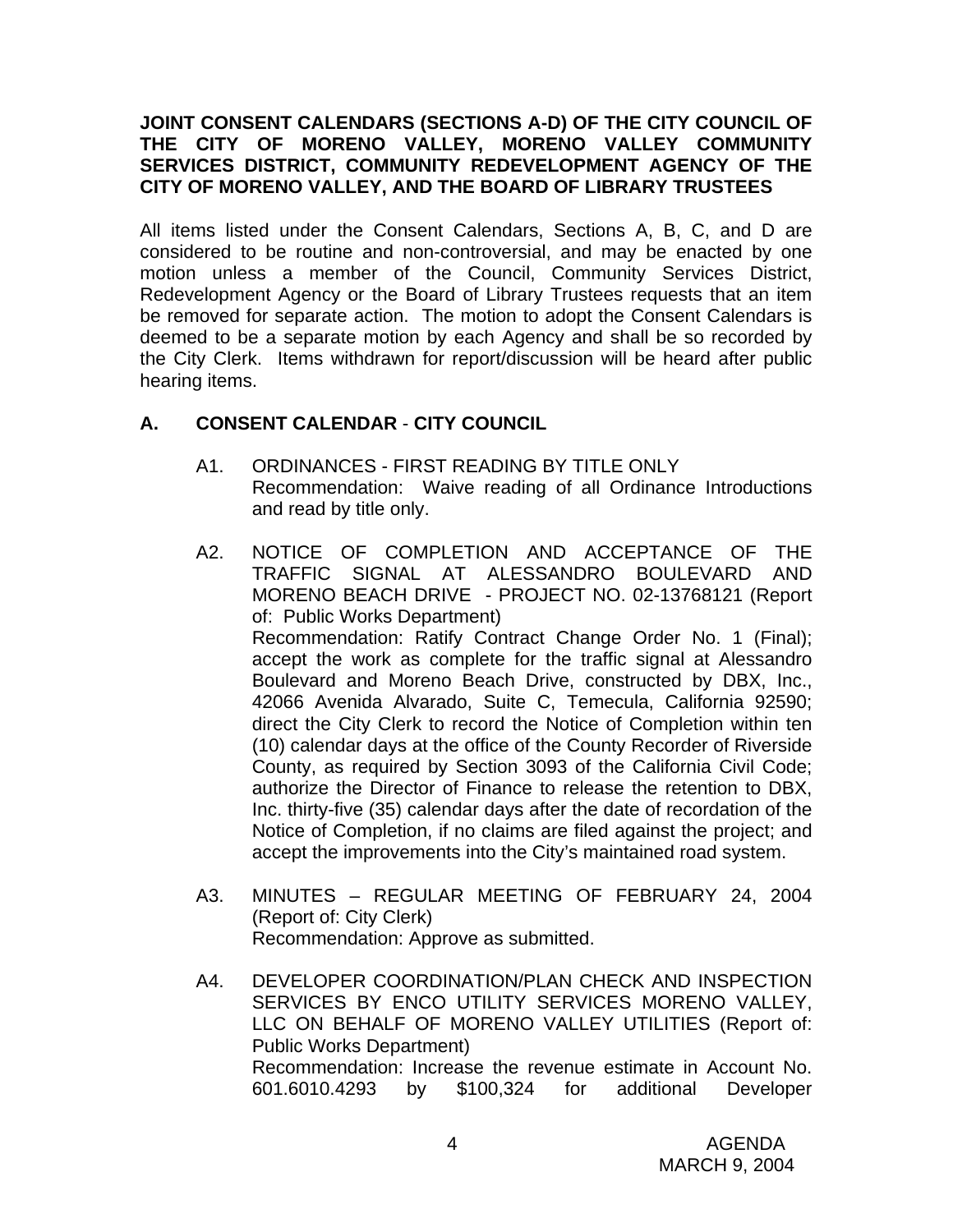#### **JOINT CONSENT CALENDARS (SECTIONS A-D) OF THE CITY COUNCIL OF THE CITY OF MORENO VALLEY, MORENO VALLEY COMMUNITY SERVICES DISTRICT, COMMUNITY REDEVELOPMENT AGENCY OF THE CITY OF MORENO VALLEY, AND THE BOARD OF LIBRARY TRUSTEES**

All items listed under the Consent Calendars, Sections A, B, C, and D are considered to be routine and non-controversial, and may be enacted by one motion unless a member of the Council, Community Services District, Redevelopment Agency or the Board of Library Trustees requests that an item be removed for separate action. The motion to adopt the Consent Calendars is deemed to be a separate motion by each Agency and shall be so recorded by the City Clerk. Items withdrawn for report/discussion will be heard after public hearing items.

# **A. CONSENT CALENDAR** - **CITY COUNCIL**

- A1. ORDINANCES FIRST READING BY TITLE ONLY Recommendation: Waive reading of all Ordinance Introductions and read by title only.
- A2. NOTICE OF COMPLETION AND ACCEPTANCE OF THE TRAFFIC SIGNAL AT ALESSANDRO BOULEVARD AND MORENO BEACH DRIVE - PROJECT NO. 02-13768121 (Report of: Public Works Department) Recommendation: Ratify Contract Change Order No. 1 (Final); accept the work as complete for the traffic signal at Alessandro Boulevard and Moreno Beach Drive, constructed by DBX, Inc., 42066 Avenida Alvarado, Suite C, Temecula, California 92590; direct the City Clerk to record the Notice of Completion within ten (10) calendar days at the office of the County Recorder of Riverside County, as required by Section 3093 of the California Civil Code; authorize the Director of Finance to release the retention to DBX, Inc. thirty-five (35) calendar days after the date of recordation of the Notice of Completion, if no claims are filed against the project; and accept the improvements into the City's maintained road system.
- A3. MINUTES REGULAR MEETING OF FEBRUARY 24, 2004 (Report of: City Clerk) Recommendation: Approve as submitted.
- A4. DEVELOPER COORDINATION/PLAN CHECK AND INSPECTION SERVICES BY ENCO UTILITY SERVICES MORENO VALLEY, LLC ON BEHALF OF MORENO VALLEY UTILITIES (Report of: Public Works Department) Recommendation: Increase the revenue estimate in Account No. 601.6010.4293 by \$100,324 for additional Developer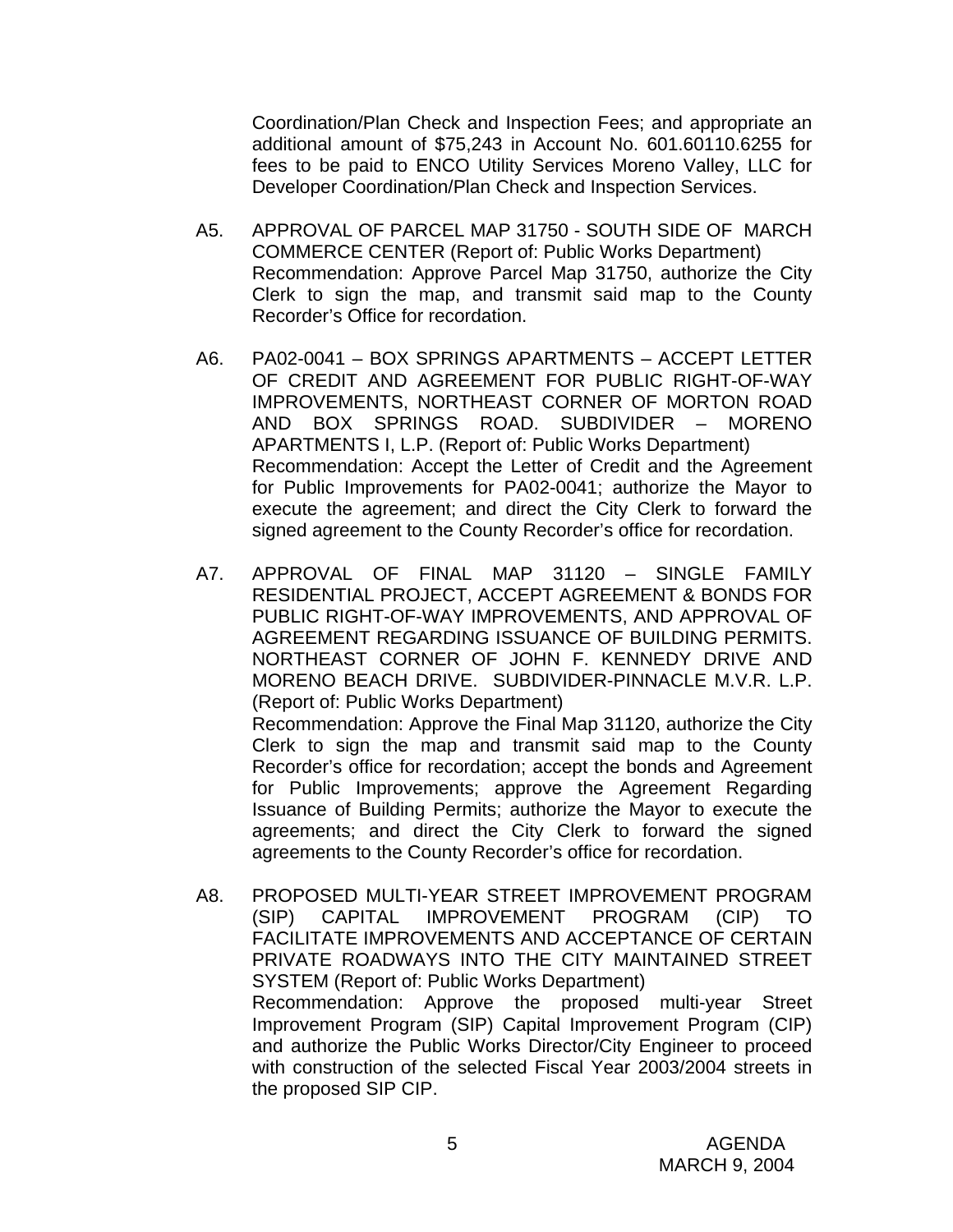Coordination/Plan Check and Inspection Fees; and appropriate an additional amount of \$75,243 in Account No. 601.60110.6255 for fees to be paid to ENCO Utility Services Moreno Valley, LLC for Developer Coordination/Plan Check and Inspection Services.

- A5. APPROVAL OF PARCEL MAP 31750 SOUTH SIDE OF MARCH COMMERCE CENTER (Report of: Public Works Department) Recommendation: Approve Parcel Map 31750, authorize the City Clerk to sign the map, and transmit said map to the County Recorder's Office for recordation.
- A6. PA02-0041 BOX SPRINGS APARTMENTS ACCEPT LETTER OF CREDIT AND AGREEMENT FOR PUBLIC RIGHT-OF-WAY IMPROVEMENTS, NORTHEAST CORNER OF MORTON ROAD AND BOX SPRINGS ROAD. SUBDIVIDER – MORENO APARTMENTS I, L.P. (Report of: Public Works Department) Recommendation: Accept the Letter of Credit and the Agreement for Public Improvements for PA02-0041; authorize the Mayor to execute the agreement; and direct the City Clerk to forward the signed agreement to the County Recorder's office for recordation.
- A7. APPROVAL OF FINAL MAP 31120 SINGLE FAMILY RESIDENTIAL PROJECT, ACCEPT AGREEMENT & BONDS FOR PUBLIC RIGHT-OF-WAY IMPROVEMENTS, AND APPROVAL OF AGREEMENT REGARDING ISSUANCE OF BUILDING PERMITS. NORTHEAST CORNER OF JOHN F. KENNEDY DRIVE AND MORENO BEACH DRIVE. SUBDIVIDER-PINNACLE M.V.R. L.P. (Report of: Public Works Department) Recommendation: Approve the Final Map 31120, authorize the City Clerk to sign the map and transmit said map to the County Recorder's office for recordation; accept the bonds and Agreement for Public Improvements; approve the Agreement Regarding Issuance of Building Permits; authorize the Mayor to execute the agreements; and direct the City Clerk to forward the signed
- A8. PROPOSED MULTI-YEAR STREET IMPROVEMENT PROGRAM (SIP) CAPITAL IMPROVEMENT PROGRAM (CIP) TO FACILITATE IMPROVEMENTS AND ACCEPTANCE OF CERTAIN PRIVATE ROADWAYS INTO THE CITY MAINTAINED STREET SYSTEM (Report of: Public Works Department) Recommendation: Approve the proposed multi-year Street Improvement Program (SIP) Capital Improvement Program (CIP) and authorize the Public Works Director/City Engineer to proceed with construction of the selected Fiscal Year 2003/2004 streets in the proposed SIP CIP.

agreements to the County Recorder's office for recordation.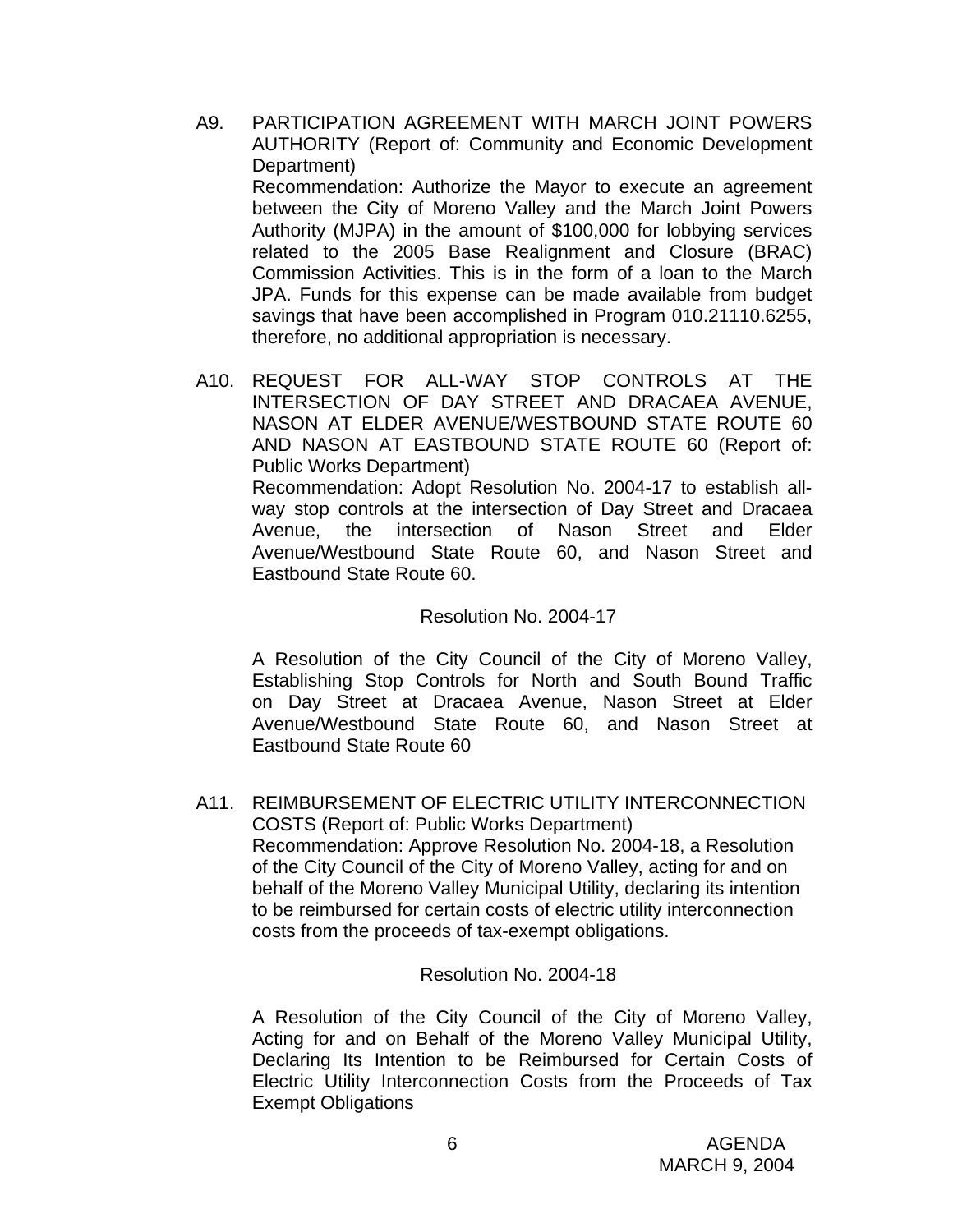- A9. PARTICIPATION AGREEMENT WITH MARCH JOINT POWERS AUTHORITY (Report of: Community and Economic Development Department) Recommendation: Authorize the Mayor to execute an agreement between the City of Moreno Valley and the March Joint Powers Authority (MJPA) in the amount of \$100,000 for lobbying services related to the 2005 Base Realignment and Closure (BRAC) Commission Activities. This is in the form of a loan to the March JPA. Funds for this expense can be made available from budget savings that have been accomplished in Program 010.21110.6255, therefore, no additional appropriation is necessary.
- A10. REQUEST FOR ALL-WAY STOP CONTROLS AT THE INTERSECTION OF DAY STREET AND DRACAEA AVENUE, NASON AT ELDER AVENUE/WESTBOUND STATE ROUTE 60 AND NASON AT EASTBOUND STATE ROUTE 60 (Report of: Public Works Department) Recommendation: Adopt Resolution No. 2004-17 to establish allway stop controls at the intersection of Day Street and Dracaea Avenue, the intersection of Nason Street and Elder Avenue/Westbound State Route 60, and Nason Street and Eastbound State Route 60.

#### Resolution No. 2004-17

A Resolution of the City Council of the City of Moreno Valley, Establishing Stop Controls for North and South Bound Traffic on Day Street at Dracaea Avenue, Nason Street at Elder Avenue/Westbound State Route 60, and Nason Street at Eastbound State Route 60

A11. REIMBURSEMENT OF ELECTRIC UTILITY INTERCONNECTION COSTS (Report of: Public Works Department) Recommendation: Approve Resolution No. 2004-18, a Resolution of the City Council of the City of Moreno Valley, acting for and on behalf of the Moreno Valley Municipal Utility, declaring its intention to be reimbursed for certain costs of electric utility interconnection costs from the proceeds of tax-exempt obligations.

#### Resolution No. 2004-18

 A Resolution of the City Council of the City of Moreno Valley, Acting for and on Behalf of the Moreno Valley Municipal Utility, Declaring Its Intention to be Reimbursed for Certain Costs of Electric Utility Interconnection Costs from the Proceeds of Tax Exempt Obligations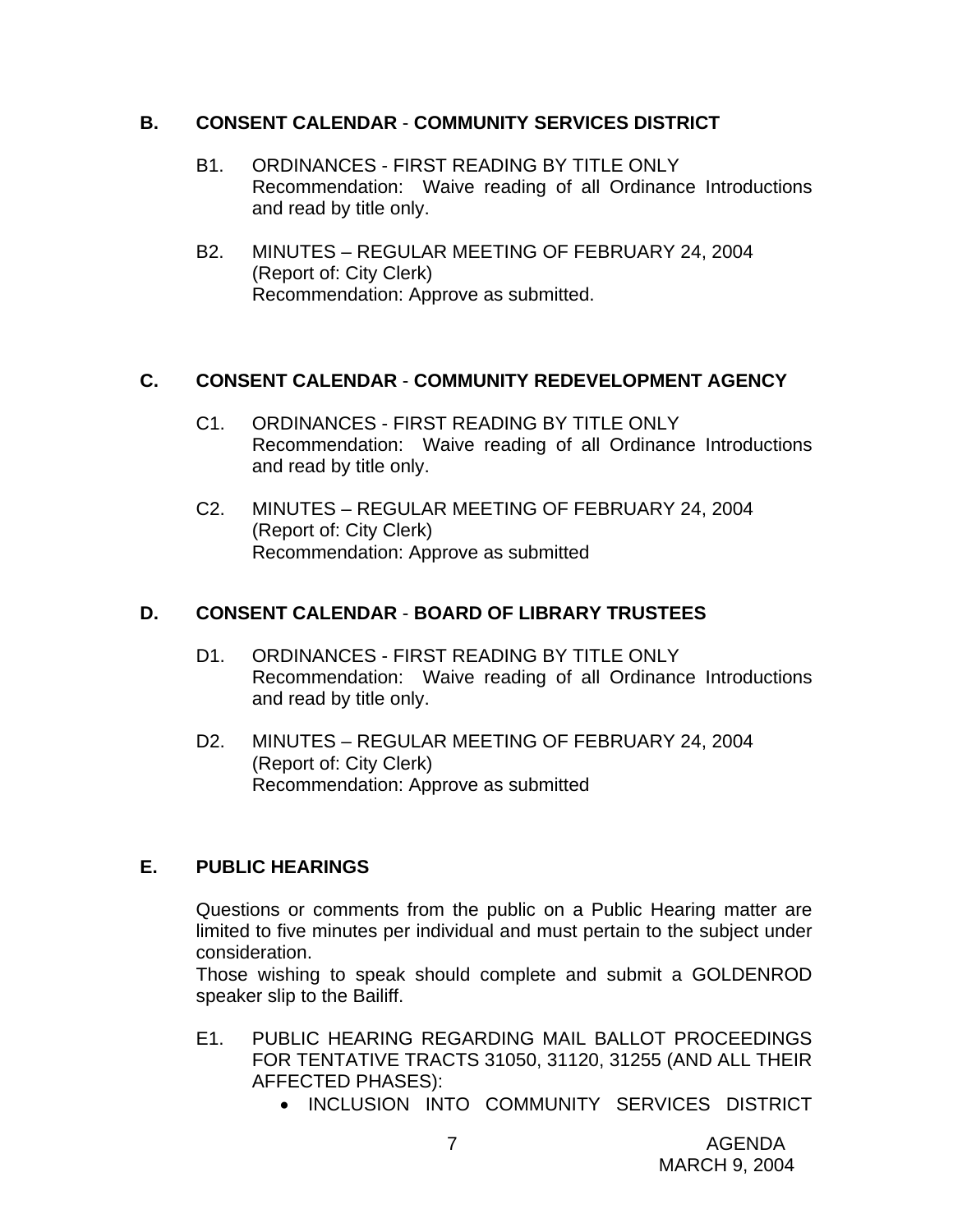#### **B. CONSENT CALENDAR** - **COMMUNITY SERVICES DISTRICT**

- B1. ORDINANCES FIRST READING BY TITLE ONLY Recommendation: Waive reading of all Ordinance Introductions and read by title only.
- B2. MINUTES REGULAR MEETING OF FEBRUARY 24, 2004 (Report of: City Clerk) Recommendation: Approve as submitted.

# **C. CONSENT CALENDAR** - **COMMUNITY REDEVELOPMENT AGENCY**

- C1. ORDINANCES FIRST READING BY TITLE ONLY Recommendation: Waive reading of all Ordinance Introductions and read by title only.
- C2. MINUTES REGULAR MEETING OF FEBRUARY 24, 2004 (Report of: City Clerk) Recommendation: Approve as submitted

# **D. CONSENT CALENDAR** - **BOARD OF LIBRARY TRUSTEES**

- D1. ORDINANCES FIRST READING BY TITLE ONLY Recommendation: Waive reading of all Ordinance Introductions and read by title only.
- D2. MINUTES REGULAR MEETING OF FEBRUARY 24, 2004 (Report of: City Clerk) Recommendation: Approve as submitted

# **E. PUBLIC HEARINGS**

Questions or comments from the public on a Public Hearing matter are limited to five minutes per individual and must pertain to the subject under consideration.

 Those wishing to speak should complete and submit a GOLDENROD speaker slip to the Bailiff.

- E1. PUBLIC HEARING REGARDING MAIL BALLOT PROCEEDINGS FOR TENTATIVE TRACTS 31050, 31120, 31255 (AND ALL THEIR AFFECTED PHASES):
	- INCLUSION INTO COMMUNITY SERVICES DISTRICT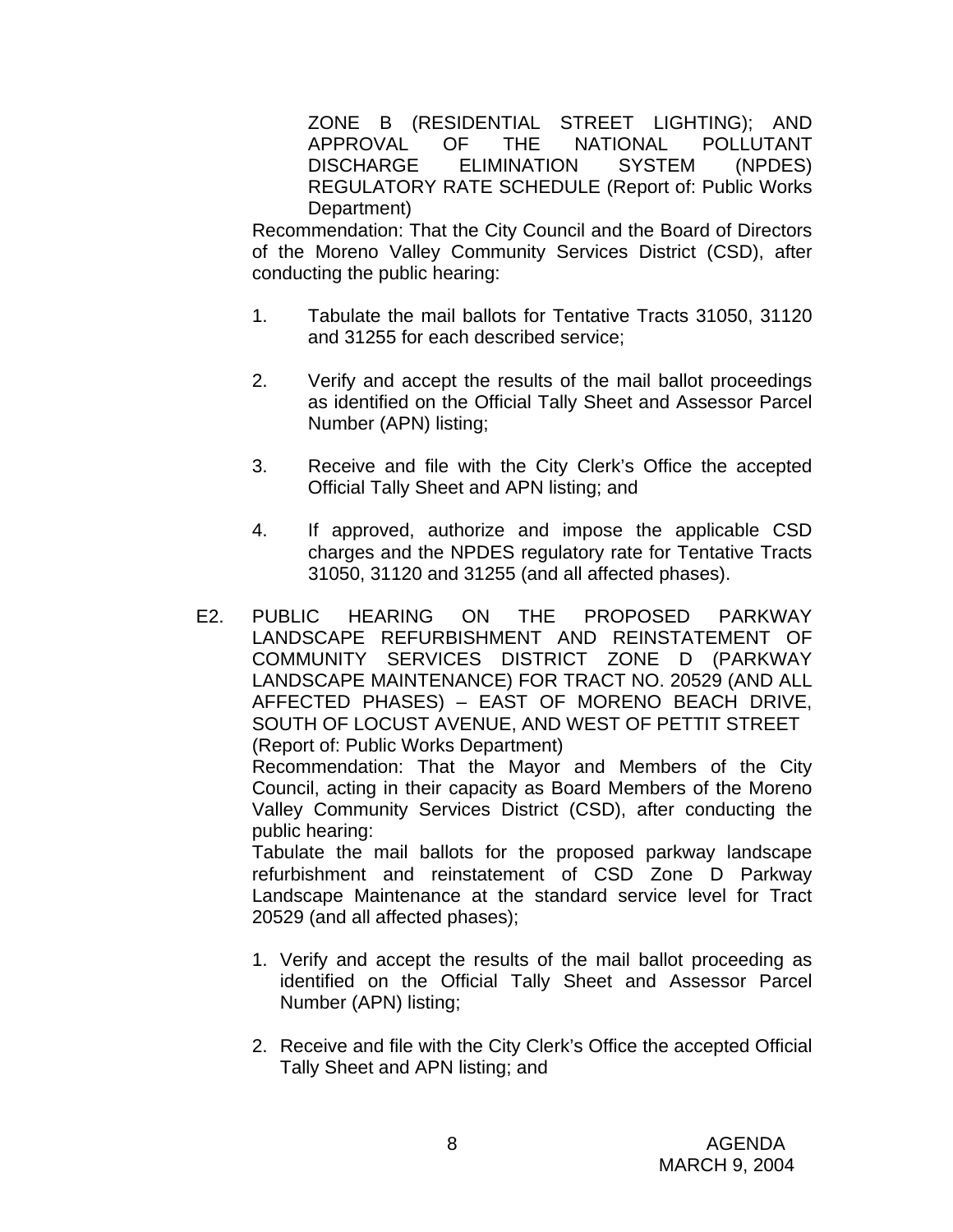ZONE B (RESIDENTIAL STREET LIGHTING); AND APPROVAL OF THE NATIONAL POLLUTANT DISCHARGE ELIMINATION SYSTEM (NPDES) REGULATORY RATE SCHEDULE (Report of: Public Works Department)

Recommendation: That the City Council and the Board of Directors of the Moreno Valley Community Services District (CSD), after conducting the public hearing:

- 1. Tabulate the mail ballots for Tentative Tracts 31050, 31120 and 31255 for each described service;
- 2. Verify and accept the results of the mail ballot proceedings as identified on the Official Tally Sheet and Assessor Parcel Number (APN) listing;
- 3. Receive and file with the City Clerk's Office the accepted Official Tally Sheet and APN listing; and
- 4. If approved, authorize and impose the applicable CSD charges and the NPDES regulatory rate for Tentative Tracts 31050, 31120 and 31255 (and all affected phases).
- E2. PUBLIC HEARING ON THE PROPOSED PARKWAY LANDSCAPE REFURBISHMENT AND REINSTATEMENT OF COMMUNITY SERVICES DISTRICT ZONE D (PARKWAY LANDSCAPE MAINTENANCE) FOR TRACT NO. 20529 (AND ALL AFFECTED PHASES) – EAST OF MORENO BEACH DRIVE, SOUTH OF LOCUST AVENUE, AND WEST OF PETTIT STREET (Report of: Public Works Department)

 Recommendation: That the Mayor and Members of the City Council, acting in their capacity as Board Members of the Moreno Valley Community Services District (CSD), after conducting the public hearing:

 Tabulate the mail ballots for the proposed parkway landscape refurbishment and reinstatement of CSD Zone D Parkway Landscape Maintenance at the standard service level for Tract 20529 (and all affected phases);

- 1. Verify and accept the results of the mail ballot proceeding as identified on the Official Tally Sheet and Assessor Parcel Number (APN) listing;
- 2. Receive and file with the City Clerk's Office the accepted Official Tally Sheet and APN listing; and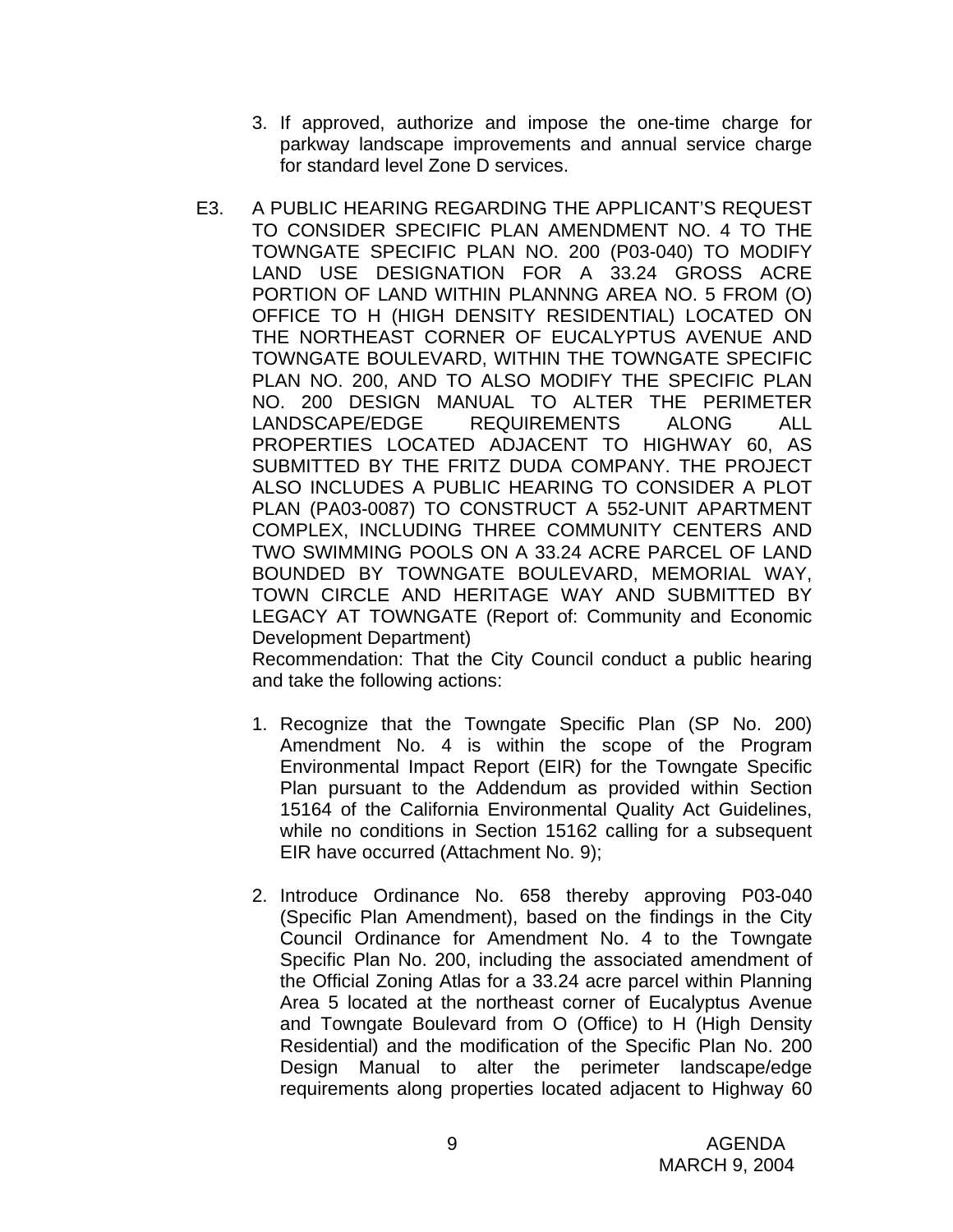- 3. If approved, authorize and impose the one-time charge for parkway landscape improvements and annual service charge for standard level Zone D services.
- E3. A PUBLIC HEARING REGARDING THE APPLICANT'S REQUEST TO CONSIDER SPECIFIC PLAN AMENDMENT NO. 4 TO THE TOWNGATE SPECIFIC PLAN NO. 200 (P03-040) TO MODIFY LAND USE DESIGNATION FOR A 33.24 GROSS ACRE PORTION OF LAND WITHIN PLANNNG AREA NO. 5 FROM (O) OFFICE TO H (HIGH DENSITY RESIDENTIAL) LOCATED ON THE NORTHEAST CORNER OF EUCALYPTUS AVENUE AND TOWNGATE BOULEVARD, WITHIN THE TOWNGATE SPECIFIC PLAN NO. 200, AND TO ALSO MODIFY THE SPECIFIC PLAN NO. 200 DESIGN MANUAL TO ALTER THE PERIMETER LANDSCAPE/EDGE REQUIREMENTS ALONG ALL PROPERTIES LOCATED ADJACENT TO HIGHWAY 60, AS SUBMITTED BY THE FRITZ DUDA COMPANY. THE PROJECT ALSO INCLUDES A PUBLIC HEARING TO CONSIDER A PLOT PLAN (PA03-0087) TO CONSTRUCT A 552-UNIT APARTMENT COMPLEX, INCLUDING THREE COMMUNITY CENTERS AND TWO SWIMMING POOLS ON A 33.24 ACRE PARCEL OF LAND BOUNDED BY TOWNGATE BOULEVARD, MEMORIAL WAY, TOWN CIRCLE AND HERITAGE WAY AND SUBMITTED BY LEGACY AT TOWNGATE (Report of: Community and Economic Development Department)

 Recommendation: That the City Council conduct a public hearing and take the following actions:

- 1. Recognize that the Towngate Specific Plan (SP No. 200) Amendment No. 4 is within the scope of the Program Environmental Impact Report (EIR) for the Towngate Specific Plan pursuant to the Addendum as provided within Section 15164 of the California Environmental Quality Act Guidelines, while no conditions in Section 15162 calling for a subsequent EIR have occurred (Attachment No. 9);
- 2. Introduce Ordinance No. 658 thereby approving P03-040 (Specific Plan Amendment), based on the findings in the City Council Ordinance for Amendment No. 4 to the Towngate Specific Plan No. 200, including the associated amendment of the Official Zoning Atlas for a 33.24 acre parcel within Planning Area 5 located at the northeast corner of Eucalyptus Avenue and Towngate Boulevard from O (Office) to H (High Density Residential) and the modification of the Specific Plan No. 200 Design Manual to alter the perimeter landscape/edge requirements along properties located adjacent to Highway 60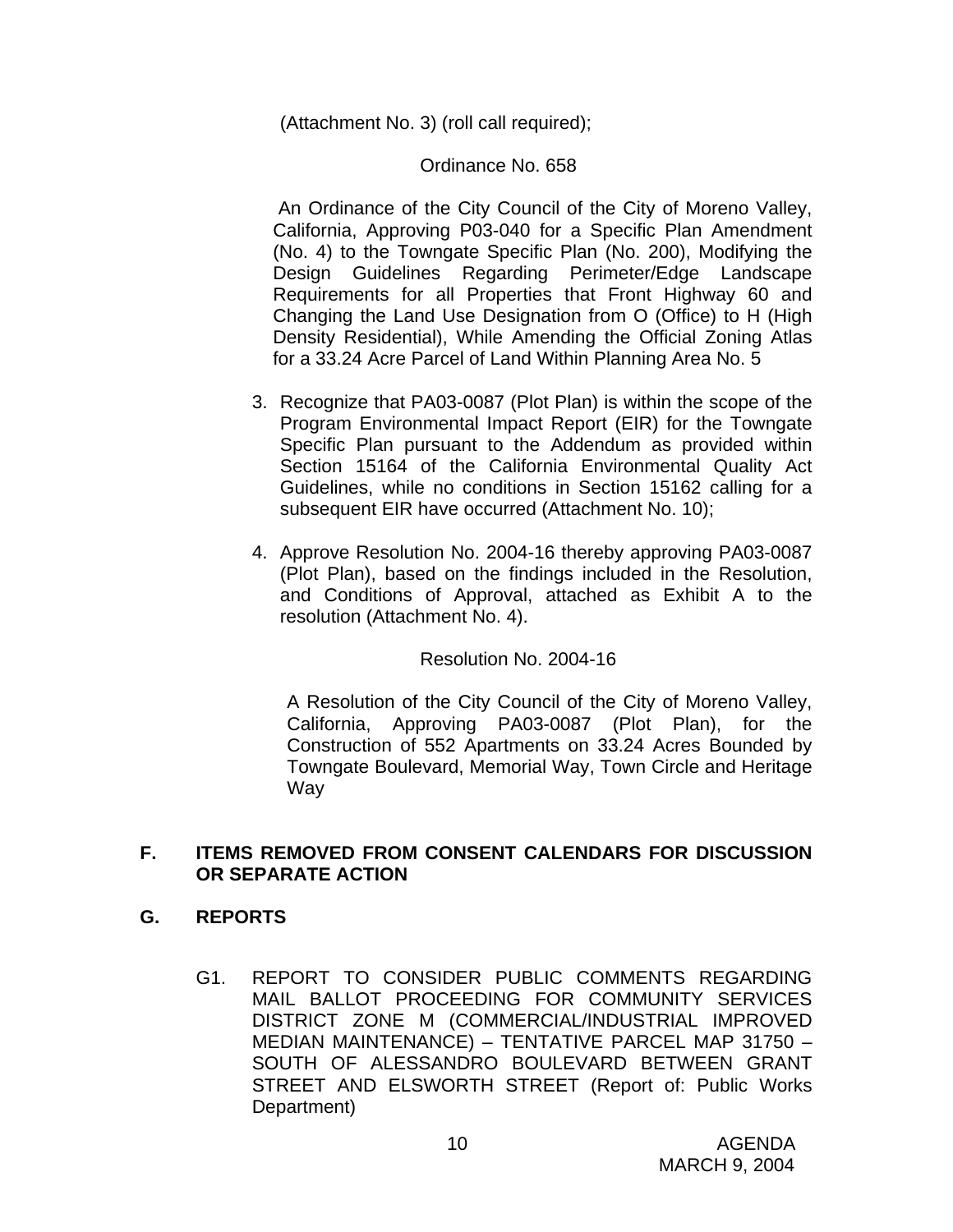(Attachment No. 3) (roll call required);

#### Ordinance No. 658

 An Ordinance of the City Council of the City of Moreno Valley, California, Approving P03-040 for a Specific Plan Amendment (No. 4) to the Towngate Specific Plan (No. 200), Modifying the Design Guidelines Regarding Perimeter/Edge Landscape Requirements for all Properties that Front Highway 60 and Changing the Land Use Designation from O (Office) to H (High Density Residential), While Amending the Official Zoning Atlas for a 33.24 Acre Parcel of Land Within Planning Area No. 5

- 3. Recognize that PA03-0087 (Plot Plan) is within the scope of the Program Environmental Impact Report (EIR) for the Towngate Specific Plan pursuant to the Addendum as provided within Section 15164 of the California Environmental Quality Act Guidelines, while no conditions in Section 15162 calling for a subsequent EIR have occurred (Attachment No. 10);
- 4. Approve Resolution No. 2004-16 thereby approving PA03-0087 (Plot Plan), based on the findings included in the Resolution, and Conditions of Approval, attached as Exhibit A to the resolution (Attachment No. 4).

#### Resolution No. 2004-16

 A Resolution of the City Council of the City of Moreno Valley, California, Approving PA03-0087 (Plot Plan), for the Construction of 552 Apartments on 33.24 Acres Bounded by Towngate Boulevard, Memorial Way, Town Circle and Heritage Way

#### **F. ITEMS REMOVED FROM CONSENT CALENDARS FOR DISCUSSION OR SEPARATE ACTION**

#### **G. REPORTS**

G1. REPORT TO CONSIDER PUBLIC COMMENTS REGARDING MAIL BALLOT PROCEEDING FOR COMMUNITY SERVICES DISTRICT ZONE M (COMMERCIAL/INDUSTRIAL IMPROVED MEDIAN MAINTENANCE) – TENTATIVE PARCEL MAP 31750 – SOUTH OF ALESSANDRO BOULEVARD BETWEEN GRANT STREET AND ELSWORTH STREET (Report of: Public Works Department)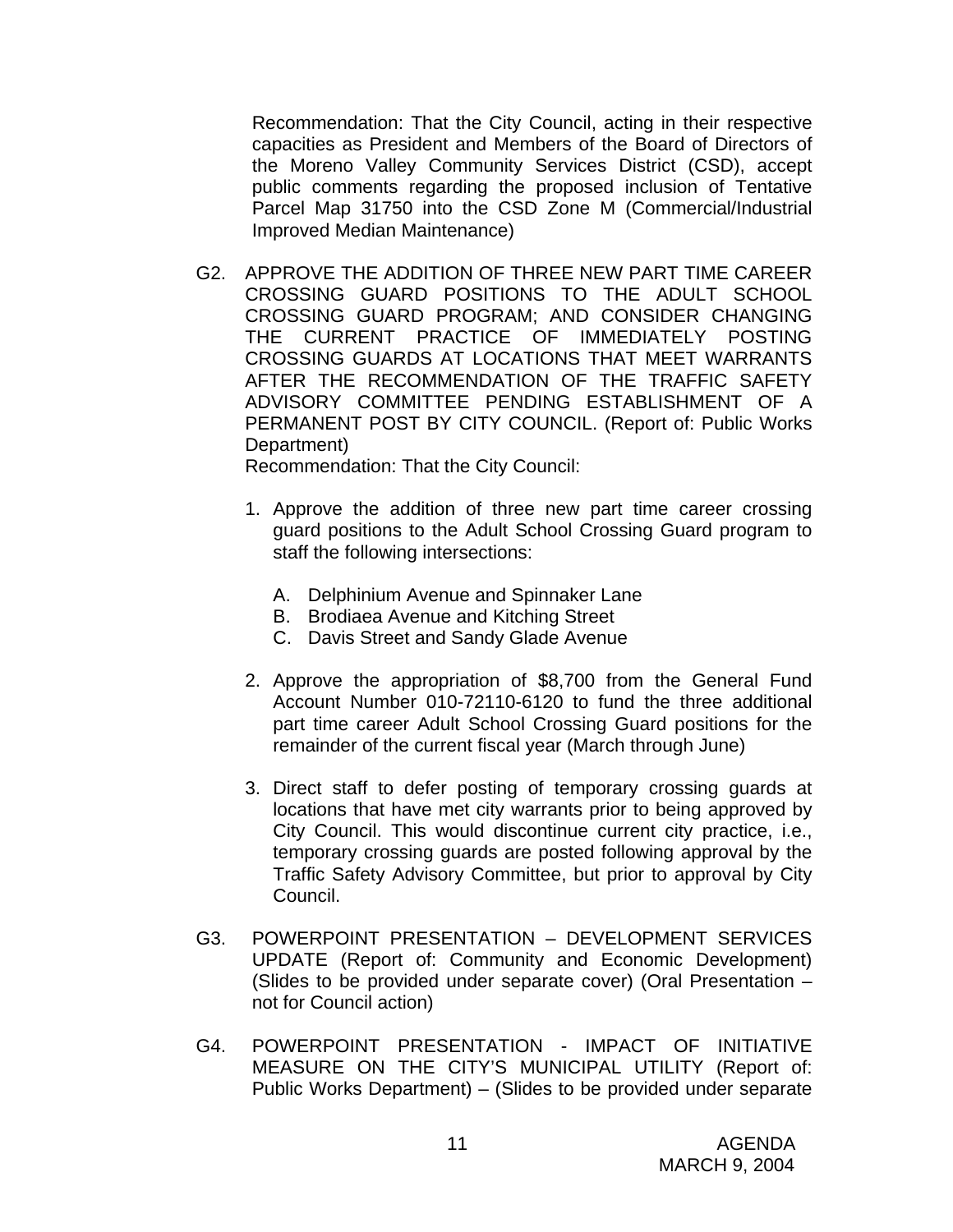Recommendation: That the City Council, acting in their respective capacities as President and Members of the Board of Directors of the Moreno Valley Community Services District (CSD), accept public comments regarding the proposed inclusion of Tentative Parcel Map 31750 into the CSD Zone M (Commercial/Industrial Improved Median Maintenance)

G2. APPROVE THE ADDITION OF THREE NEW PART TIME CAREER CROSSING GUARD POSITIONS TO THE ADULT SCHOOL CROSSING GUARD PROGRAM; AND CONSIDER CHANGING THE CURRENT PRACTICE OF IMMEDIATELY POSTING CROSSING GUARDS AT LOCATIONS THAT MEET WARRANTS AFTER THE RECOMMENDATION OF THE TRAFFIC SAFETY ADVISORY COMMITTEE PENDING ESTABLISHMENT OF A PERMANENT POST BY CITY COUNCIL. (Report of: Public Works Department)

Recommendation: That the City Council:

- 1. Approve the addition of three new part time career crossing guard positions to the Adult School Crossing Guard program to staff the following intersections:
	- A. Delphinium Avenue and Spinnaker Lane
	- B. Brodiaea Avenue and Kitching Street
	- C. Davis Street and Sandy Glade Avenue
- 2. Approve the appropriation of \$8,700 from the General Fund Account Number 010-72110-6120 to fund the three additional part time career Adult School Crossing Guard positions for the remainder of the current fiscal year (March through June)
- 3. Direct staff to defer posting of temporary crossing guards at locations that have met city warrants prior to being approved by City Council. This would discontinue current city practice, i.e., temporary crossing guards are posted following approval by the Traffic Safety Advisory Committee, but prior to approval by City Council.
- G3. POWERPOINT PRESENTATION DEVELOPMENT SERVICES UPDATE (Report of: Community and Economic Development) (Slides to be provided under separate cover) (Oral Presentation – not for Council action)
- G4. POWERPOINT PRESENTATION IMPACT OF INITIATIVE MEASURE ON THE CITY'S MUNICIPAL UTILITY (Report of: Public Works Department) – (Slides to be provided under separate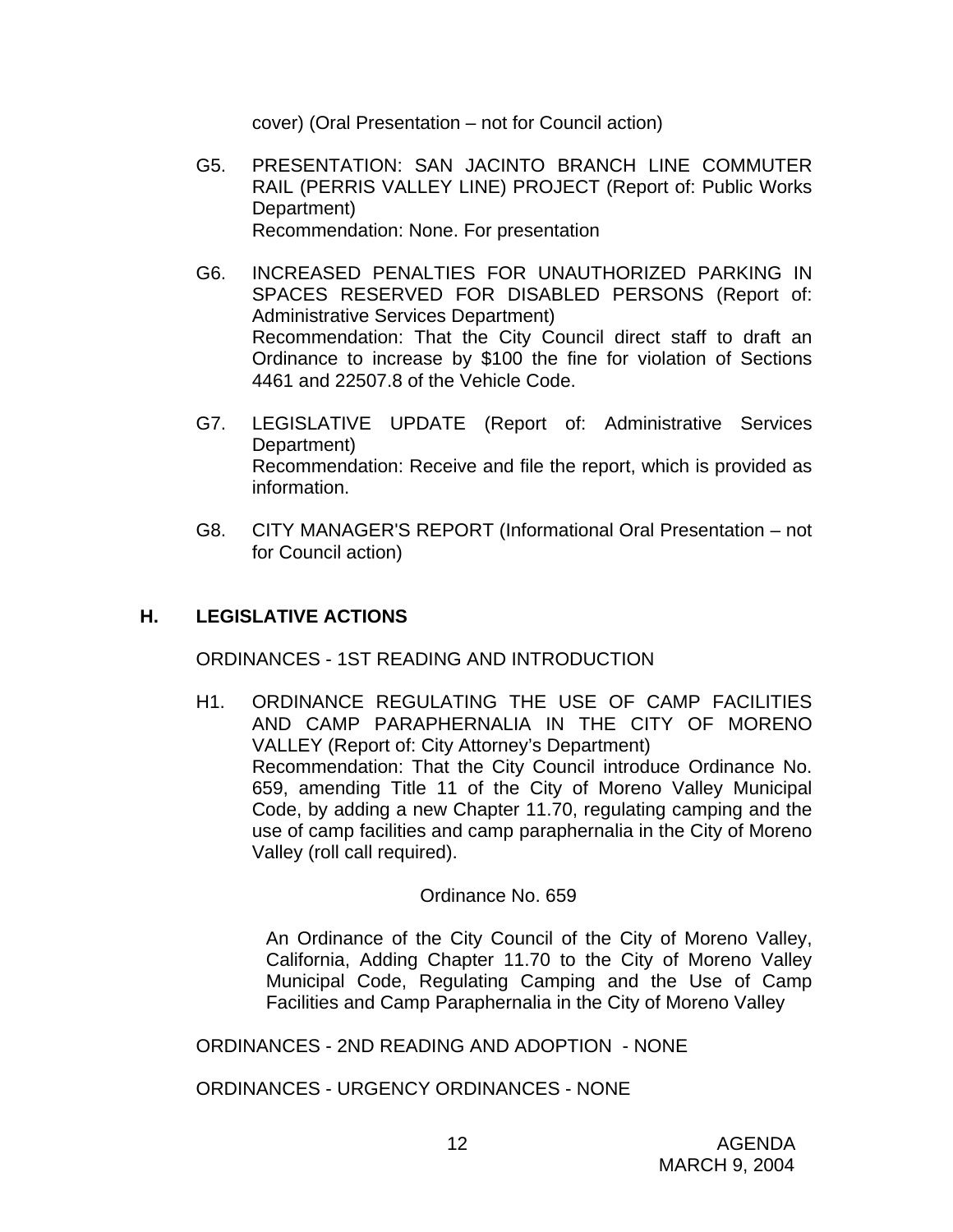cover) (Oral Presentation – not for Council action)

- G5. PRESENTATION: SAN JACINTO BRANCH LINE COMMUTER RAIL (PERRIS VALLEY LINE) PROJECT (Report of: Public Works Department) Recommendation: None. For presentation
- G6. INCREASED PENALTIES FOR UNAUTHORIZED PARKING IN SPACES RESERVED FOR DISABLED PERSONS (Report of: Administrative Services Department) Recommendation: That the City Council direct staff to draft an Ordinance to increase by \$100 the fine for violation of Sections 4461 and 22507.8 of the Vehicle Code.
- G7. LEGISLATIVE UPDATE (Report of: Administrative Services Department) Recommendation: Receive and file the report, which is provided as information.
- G8. CITY MANAGER'S REPORT (Informational Oral Presentation not for Council action)

# **H. LEGISLATIVE ACTIONS**

ORDINANCES - 1ST READING AND INTRODUCTION

H1. ORDINANCE REGULATING THE USE OF CAMP FACILITIES AND CAMP PARAPHERNALIA IN THE CITY OF MORENO VALLEY (Report of: City Attorney's Department) Recommendation: That the City Council introduce Ordinance No. 659, amending Title 11 of the City of Moreno Valley Municipal Code, by adding a new Chapter 11.70, regulating camping and the use of camp facilities and camp paraphernalia in the City of Moreno Valley (roll call required).

#### Ordinance No. 659

 An Ordinance of the City Council of the City of Moreno Valley, California, Adding Chapter 11.70 to the City of Moreno Valley Municipal Code, Regulating Camping and the Use of Camp Facilities and Camp Paraphernalia in the City of Moreno Valley

ORDINANCES - 2ND READING AND ADOPTION - NONE

ORDINANCES - URGENCY ORDINANCES - NONE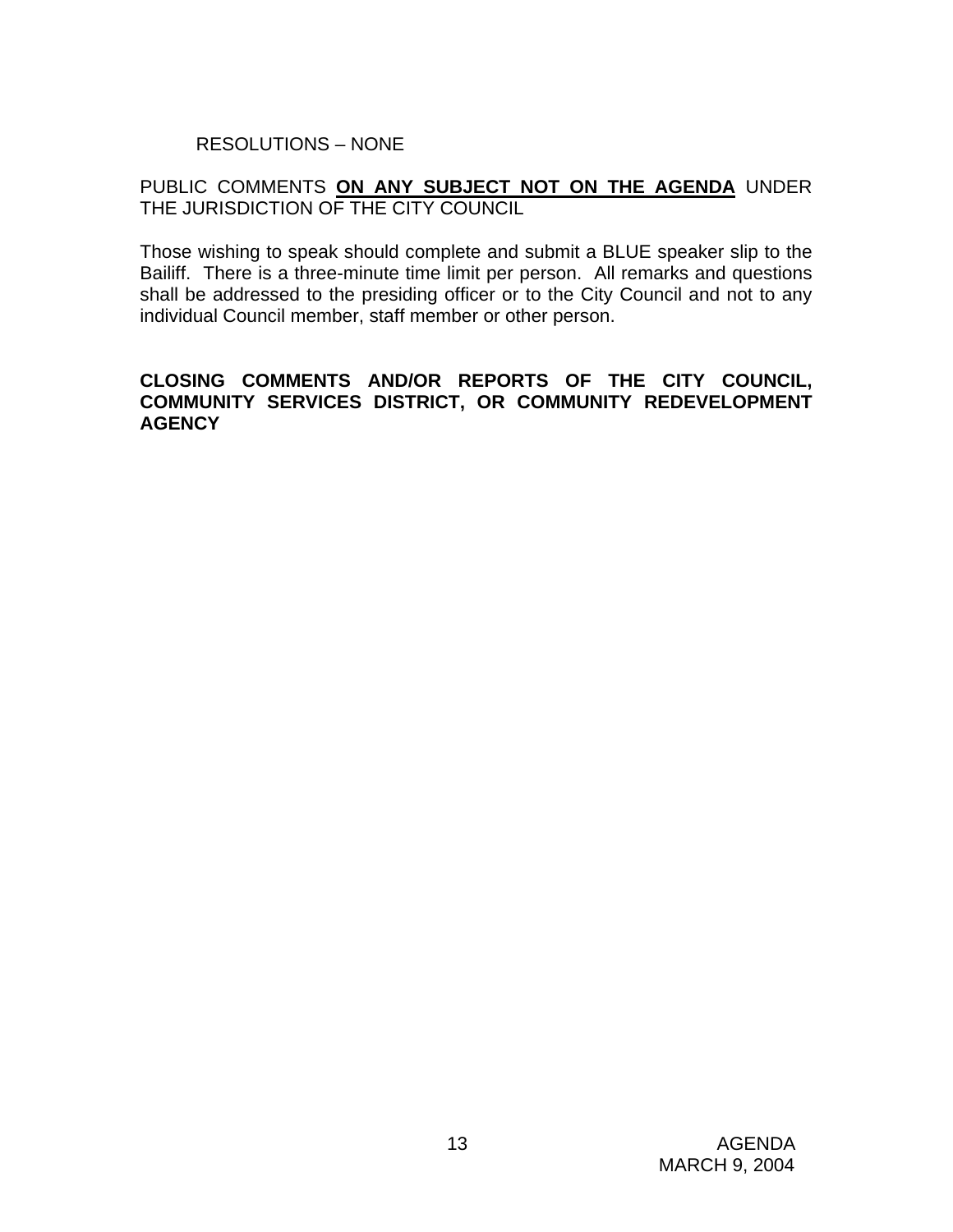# RESOLUTIONS – NONE

#### PUBLIC COMMENTS **ON ANY SUBJECT NOT ON THE AGENDA** UNDER THE JURISDICTION OF THE CITY COUNCIL

Those wishing to speak should complete and submit a BLUE speaker slip to the Bailiff. There is a three-minute time limit per person. All remarks and questions shall be addressed to the presiding officer or to the City Council and not to any individual Council member, staff member or other person.

#### **CLOSING COMMENTS AND/OR REPORTS OF THE CITY COUNCIL, COMMUNITY SERVICES DISTRICT, OR COMMUNITY REDEVELOPMENT AGENCY**